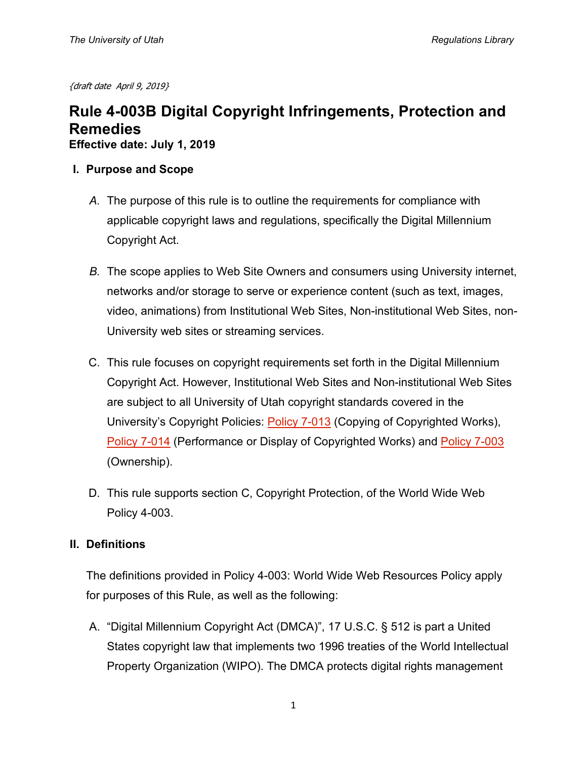{draft date April 9, 2019}

# **Rule 4-003B Digital Copyright Infringements, Protection and Remedies**

**Effective date: July 1, 2019**

- **I. Purpose and Scope**
	- *A.* The purpose of this rule is to outline the requirements for compliance with applicable copyright laws and regulations, specifically the Digital Millennium Copyright Act.
	- *B.* The scope applies to Web Site Owners and consumers using University internet, networks and/or storage to serve or experience content (such as text, images, video, animations) from Institutional Web Sites, Non-institutional Web Sites, non-University web sites or streaming services.
	- C. This rule focuses on copyright requirements set forth in the Digital Millennium Copyright Act. However, Institutional Web Sites and Non-institutional Web Sites are subject to all University of Utah copyright standards covered in the University's Copyright Policies: [Policy 7-013](http://regulations.utah.edu/research/7-013.php) (Copying of Copyrighted Works), [Policy 7-014](http://regulations.utah.edu/research/index.php) (Performance or Display of Copyrighted Works) and [Policy 7-003](http://regulations.utah.edu/research/7-003.php) (Ownership).
	- D. This rule supports section C, Copyright Protection, of the World Wide Web Policy 4-003.

## **II. Definitions**

The definitions provided in Policy 4-003: World Wide Web Resources Policy apply for purposes of this Rule, as well as the following:

A. "Digital Millennium Copyright Act (DMCA)", 17 U.S.C. § 512 is part a United States copyright law that implements two 1996 treaties of the World Intellectual Property Organization (WIPO). The DMCA protects digital rights management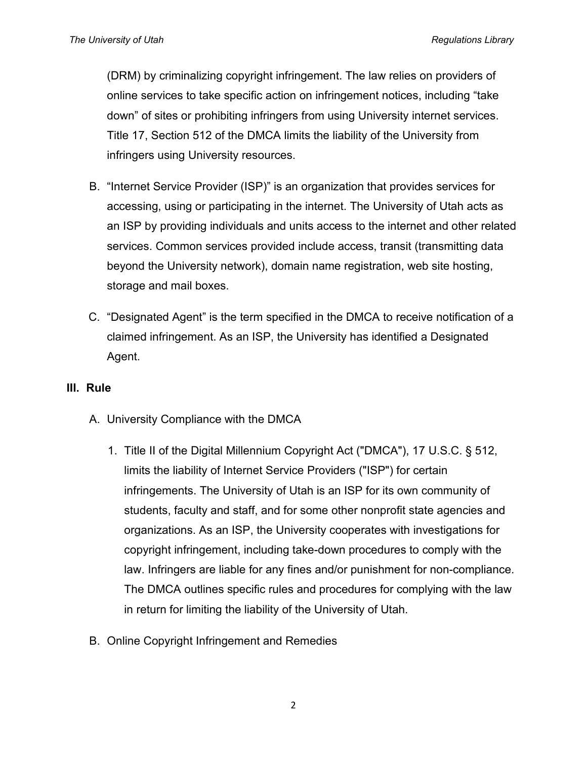(DRM) by criminalizing copyright infringement. The law relies on providers of online services to take specific action on infringement notices, including "take down" of sites or prohibiting infringers from using University internet services. Title 17, Section 512 of the DMCA limits the liability of the University from infringers using University resources.

- B. "Internet Service Provider (ISP)" is an organization that provides services for accessing, using or participating in the internet. The University of Utah acts as an ISP by providing individuals and units access to the internet and other related services. Common services provided include access, transit (transmitting data beyond the University network), domain name registration, web site hosting, storage and mail boxes.
- C. "Designated Agent" is the term specified in the DMCA to receive notification of a claimed infringement. As an ISP, the University has identified a Designated Agent.

#### **III. Rule**

- A. University Compliance with the DMCA
	- 1. Title II of the Digital Millennium Copyright Act ("DMCA"), 17 U.S.C. § 512, limits the liability of Internet Service Providers ("ISP") for certain infringements. The University of Utah is an ISP for its own community of students, faculty and staff, and for some other nonprofit state agencies and organizations. As an ISP, the University cooperates with investigations for copyright infringement, including take-down procedures to comply with the law. Infringers are liable for any fines and/or punishment for non-compliance. The DMCA outlines specific rules and procedures for complying with the law in return for limiting the liability of the University of Utah.
- B. Online Copyright Infringement and Remedies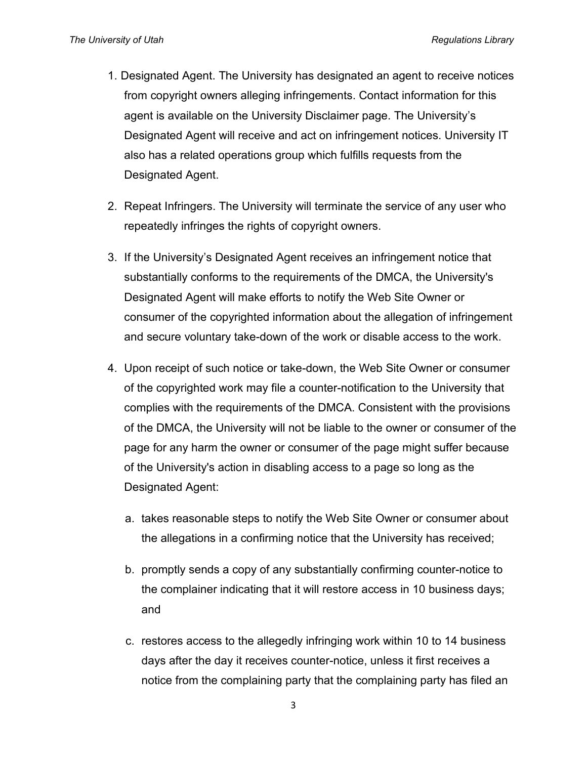- 1. Designated Agent. The University has designated an agent to receive notices from copyright owners alleging infringements. Contact information for this agent is available on the University Disclaimer page. The University's Designated Agent will receive and act on infringement notices. University IT also has a related operations group which fulfills requests from the Designated Agent.
- 2. Repeat Infringers. The University will terminate the service of any user who repeatedly infringes the rights of copyright owners.
- 3. If the University's Designated Agent receives an infringement notice that substantially conforms to the requirements of the DMCA, the University's Designated Agent will make efforts to notify the Web Site Owner or consumer of the copyrighted information about the allegation of infringement and secure voluntary take-down of the work or disable access to the work.
- 4. Upon receipt of such notice or take-down, the Web Site Owner or consumer of the copyrighted work may file a counter-notification to the University that complies with the requirements of the DMCA. Consistent with the provisions of the DMCA, the University will not be liable to the owner or consumer of the page for any harm the owner or consumer of the page might suffer because of the University's action in disabling access to a page so long as the Designated Agent:
	- a. takes reasonable steps to notify the Web Site Owner or consumer about the allegations in a confirming notice that the University has received;
	- b. promptly sends a copy of any substantially confirming counter-notice to the complainer indicating that it will restore access in 10 business days; and
	- c. restores access to the allegedly infringing work within 10 to 14 business days after the day it receives counter-notice, unless it first receives a notice from the complaining party that the complaining party has filed an

3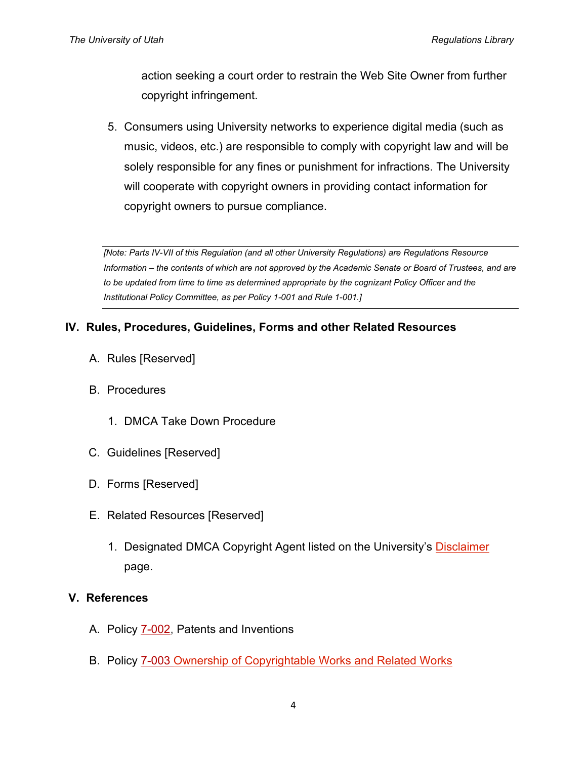action seeking a court order to restrain the Web Site Owner from further copyright infringement.

5. Consumers using University networks to experience digital media (such as music, videos, etc.) are responsible to comply with copyright law and will be solely responsible for any fines or punishment for infractions. The University will cooperate with copyright owners in providing contact information for copyright owners to pursue compliance.

*[Note: Parts IV-VII of this Regulation (and all other University Regulations) are Regulations Resource Information – the contents of which are not approved by the Academic Senate or Board of Trustees, and are*  to be updated from time to time as determined appropriate by the cognizant Policy Officer and the *Institutional Policy Committee, as per Policy 1-001 and Rule 1-001.]*

#### **IV. Rules, Procedures, Guidelines, Forms and other Related Resources**

- A. Rules [Reserved]
- B. Procedures
	- 1. DMCA Take Down Procedure
- C. Guidelines [Reserved]
- D. Forms [Reserved]
- E. Related Resources [Reserved]
	- 1. Designated DMCA Copyright Agent listed on the University's [Disclaimer](https://www.utah.edu/disclaimer/) page.

#### **V. References**

- A. Policy  $7-002$ , Patents and Inventions
- B. Policy [7-003](http://regulations.utah.edu/research/7-003.php) Ownership of Copyrightable Works and Related Works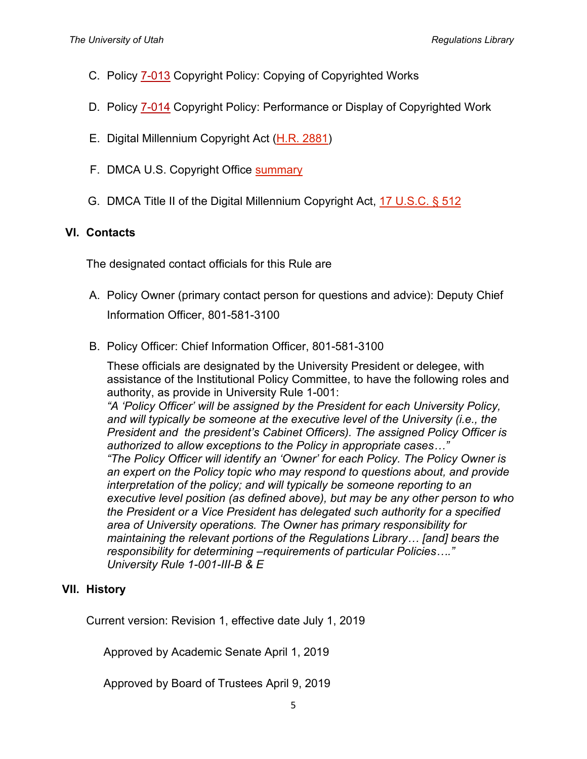- C. Policy [7-013](http://regulations.utah.edu/research/7-013.php) Copyright Policy: Copying of Copyrighted Works
- D. Policy [7-014](http://regulations.utah.edu/research/7-014.php) Copyright Policy: Performance or Display of Copyrighted Work
- E. Digital Millennium Copyright Act [\(H.R. 2881\)](https://www.congress.gov/bill/105th-congress/house-bill/2281)
- F. DMCA U.S. Copyright Office [summary](https://www.copyright.gov/legislation/dmca.pdf)
- G. DMCA Title II of the Digital Millennium Copyright Act, [17 U.S.C. §](https://www.gpo.gov/fdsys/granule/USCODE-2010-title17/USCODE-2010-title17-chap5-sec512) 512

## **VI. Contacts**

The designated contact officials for this Rule are

- A. Policy Owner (primary contact person for questions and advice): Deputy Chief Information Officer, 801-581-3100
- B. Policy Officer: Chief Information Officer, 801-581-3100

These officials are designated by the University President or delegee, with assistance of the Institutional Policy Committee, to have the following roles and authority, as provide in University Rule 1-001: *"A 'Policy Officer' will be assigned by the President for each University Policy,* 

and will typically be someone at the executive level of the University *(i.e., the President and the president's Cabinet Officers). The assigned Policy Officer is authorized to allow exceptions to the Policy in appropriate cases…"*

*"The Policy Officer will identify an 'Owner' for each Policy. The Policy Owner is an expert on the Policy topic who may respond to questions about, and provide interpretation of the policy; and will typically be someone reporting to an executive level position (as defined above), but may be any other person to who the President or a Vice President has delegated such authority for a specified area of University operations. The Owner has primary responsibility for maintaining the relevant portions of the Regulations Library… [and] bears the responsibility for determining –requirements of particular Policies…." University Rule 1-001-III-B & E*

# **VII. History**

Current version: Revision 1, effective date July 1, 2019

Approved by Academic Senate April 1, 2019

Approved by Board of Trustees April 9, 2019